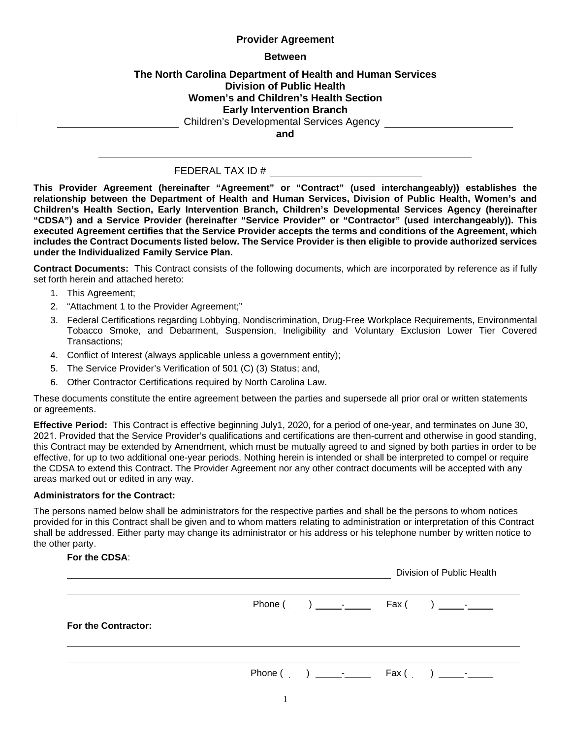### **Provider Agreement**

#### **Between**

## **The North Carolina Department of Health and Human Services Division of Public Health Women's and Children's Health Section Early Intervention Branch**

Children's Developmental Services Agency

**and**

### FEDERAL TAX ID #

**This Provider Agreement (hereinafter "Agreement" or "Contract" (used interchangeably)) establishes the relationship between the Department of Health and Human Services, Division of Public Health, Women's and Children's Health Section, Early Intervention Branch, Children's Developmental Services Agency (hereinafter "CDSA") and a Service Provider (hereinafter "Service Provider" or "Contractor" (used interchangeably)). This executed Agreement certifies that the Service Provider accepts the terms and conditions of the Agreement, which includes the Contract Documents listed below. The Service Provider is then eligible to provide authorized services under the Individualized Family Service Plan.** 

**Contract Documents:** This Contract consists of the following documents, which are incorporated by reference as if fully set forth herein and attached hereto:

- 1. This Agreement;
- 2. "Attachment 1 to the Provider Agreement;"
- 3. Federal Certifications regarding Lobbying, Nondiscrimination, Drug-Free Workplace Requirements, Environmental Tobacco Smoke, and Debarment, Suspension, Ineligibility and Voluntary Exclusion Lower Tier Covered Transactions;
- 4. Conflict of Interest (always applicable unless a government entity);
- 5. The Service Provider's Verification of 501 (C) (3) Status; and,
- 6. Other Contractor Certifications required by North Carolina Law.

These documents constitute the entire agreement between the parties and supersede all prior oral or written statements or agreements.

**Effective Period:** This Contract is effective beginning July1, 2021, for a period of one-year, and terminates on June 30, 202. Provided that the Service Proder's qualifications and certifications are then-current and otherwise in good standing, this Contract may be extended by Amendment, which must be mutually agreed to and signed by both parties in order to be effective, for up to two additional one-year periods. Nothing herein is intended or shall be interpreted to compel or require the CDSA to extend this Contract. The Provider Agreement nor any other contract documents will be accepted with any areas marked out or edited in any way.

#### **Administrators for the Contract:**

The persons named below shall be administrators for the respective parties and shall be the persons to whom notices provided for in this Contract shall be given and to whom matters relating to administration or interpretation of this Contract shall be addressed. Either party may change its administrator or his address or his telephone number by written notice to the other party.

#### **For the CDSA**:

|                     | Division of Public Health |
|---------------------|---------------------------|
|                     |                           |
| For the Contractor: |                           |
|                     |                           |
|                     |                           |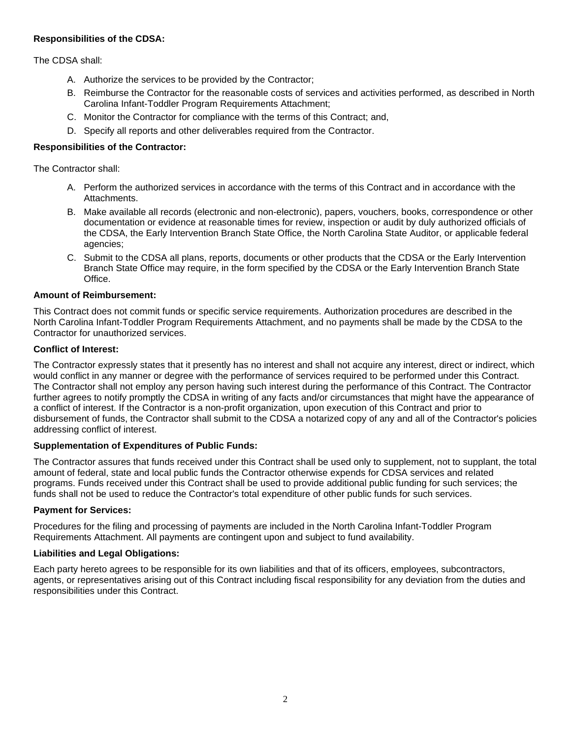## **Responsibilities of the CDSA:**

The CDSA shall:

- A. Authorize the services to be provided by the Contractor;
- B. Reimburse the Contractor for the reasonable costs of services and activities performed, as described in North Carolina Infant-Toddler Program Requirements Attachment;
- C. Monitor the Contractor for compliance with the terms of this Contract; and,
- D. Specify all reports and other deliverables required from the Contractor.

## **Responsibilities of the Contractor:**

The Contractor shall:

- A. Perform the authorized services in accordance with the terms of this Contract and in accordance with the **Attachments**
- B. Make available all records (electronic and non-electronic), papers, vouchers, books, correspondence or other documentation or evidence at reasonable times for review, inspection or audit by duly authorized officials of the CDSA, the Early Intervention Branch State Office, the North Carolina State Auditor, or applicable federal agencies;
- C. Submit to the CDSA all plans, reports, documents or other products that the CDSA or the Early Intervention Branch State Office may require, in the form specified by the CDSA or the Early Intervention Branch State Office.

#### **Amount of Reimbursement:**

This Contract does not commit funds or specific service requirements. Authorization procedures are described in the North Carolina Infant-Toddler Program Requirements Attachment, and no payments shall be made by the CDSA to the Contractor for unauthorized services.

#### **Conflict of Interest:**

The Contractor expressly states that it presently has no interest and shall not acquire any interest, direct or indirect, which would conflict in any manner or degree with the performance of services required to be performed under this Contract. The Contractor shall not employ any person having such interest during the performance of this Contract. The Contractor further agrees to notify promptly the CDSA in writing of any facts and/or circumstances that might have the appearance of a conflict of interest. If the Contractor is a non-profit organization, upon execution of this Contract and prior to disbursement of funds, the Contractor shall submit to the CDSA a notarized copy of any and all of the Contractor's policies addressing conflict of interest.

### **Supplementation of Expenditures of Public Funds:**

The Contractor assures that funds received under this Contract shall be used only to supplement, not to supplant, the total amount of federal, state and local public funds the Contractor otherwise expends for CDSA services and related programs. Funds received under this Contract shall be used to provide additional public funding for such services; the funds shall not be used to reduce the Contractor's total expenditure of other public funds for such services.

### **Payment for Services:**

Procedures for the filing and processing of payments are included in the North Carolina Infant-Toddler Program Requirements Attachment. All payments are contingent upon and subject to fund availability.

#### **Liabilities and Legal Obligations:**

Each party hereto agrees to be responsible for its own liabilities and that of its officers, employees, subcontractors, agents, or representatives arising out of this Contract including fiscal responsibility for any deviation from the duties and responsibilities under this Contract.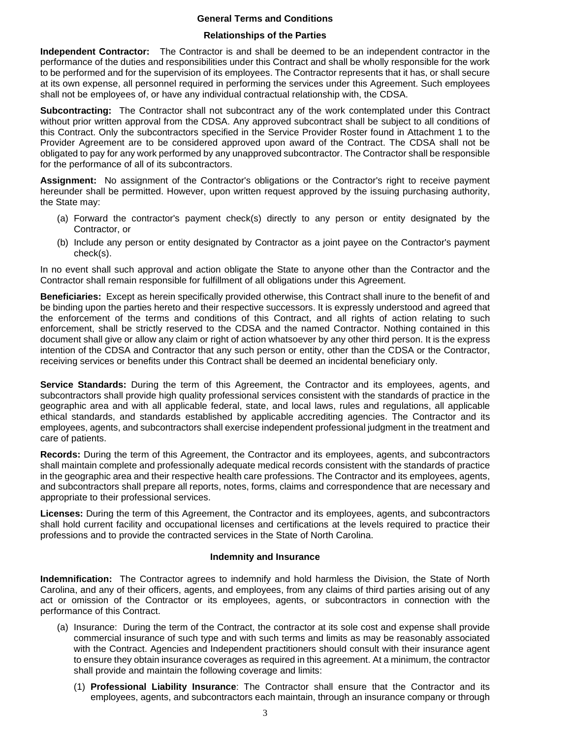#### **General Terms and Conditions**

#### **Relationships of the Parties**

**Independent Contractor:** The Contractor is and shall be deemed to be an independent contractor in the performance of the duties and responsibilities under this Contract and shall be wholly responsible for the work to be performed and for the supervision of its employees. The Contractor represents that it has, or shall secure at its own expense, all personnel required in performing the services under this Agreement. Such employees shall not be employees of, or have any individual contractual relationship with, the CDSA.

**Subcontracting:** The Contractor shall not subcontract any of the work contemplated under this Contract without prior written approval from the CDSA. Any approved subcontract shall be subject to all conditions of this Contract. Only the subcontractors specified in the Service Provider Roster found in Attachment 1 to the Provider Agreement are to be considered approved upon award of the Contract. The CDSA shall not be obligated to pay for any work performed by any unapproved subcontractor. The Contractor shall be responsible for the performance of all of its subcontractors.

**Assignment:** No assignment of the Contractor's obligations or the Contractor's right to receive payment hereunder shall be permitted. However, upon written request approved by the issuing purchasing authority, the State may:

- (a) Forward the contractor's payment check(s) directly to any person or entity designated by the Contractor, or
- (b) Include any person or entity designated by Contractor as a joint payee on the Contractor's payment check(s).

In no event shall such approval and action obligate the State to anyone other than the Contractor and the Contractor shall remain responsible for fulfillment of all obligations under this Agreement.

**Beneficiaries:** Except as herein specifically provided otherwise, this Contract shall inure to the benefit of and be binding upon the parties hereto and their respective successors. It is expressly understood and agreed that the enforcement of the terms and conditions of this Contract, and all rights of action relating to such enforcement, shall be strictly reserved to the CDSA and the named Contractor. Nothing contained in this document shall give or allow any claim or right of action whatsoever by any other third person. It is the express intention of the CDSA and Contractor that any such person or entity, other than the CDSA or the Contractor, receiving services or benefits under this Contract shall be deemed an incidental beneficiary only.

**Service Standards:** During the term of this Agreement, the Contractor and its employees, agents, and subcontractors shall provide high quality professional services consistent with the standards of practice in the geographic area and with all applicable federal, state, and local laws, rules and regulations, all applicable ethical standards, and standards established by applicable accrediting agencies. The Contractor and its employees, agents, and subcontractors shall exercise independent professional judgment in the treatment and care of patients.

**Records:** During the term of this Agreement, the Contractor and its employees, agents, and subcontractors shall maintain complete and professionally adequate medical records consistent with the standards of practice in the geographic area and their respective health care professions. The Contractor and its employees, agents, and subcontractors shall prepare all reports, notes, forms, claims and correspondence that are necessary and appropriate to their professional services.

**Licenses:** During the term of this Agreement, the Contractor and its employees, agents, and subcontractors shall hold current facility and occupational licenses and certifications at the levels required to practice their professions and to provide the contracted services in the State of North Carolina.

#### **Indemnity and Insurance**

**Indemnification:** The Contractor agrees to indemnify and hold harmless the Division, the State of North Carolina, and any of their officers, agents, and employees, from any claims of third parties arising out of any act or omission of the Contractor or its employees, agents, or subcontractors in connection with the performance of this Contract.

- (a) Insurance:During the term of the Contract, the contractor at its sole cost and expense shall provide commercial insurance of such type and with such terms and limits as may be reasonably associated with the Contract. Agencies and Independent practitioners should consult with their insurance agent to ensure they obtain insurance coverages as required in this agreement. At a minimum, the contractor shall provide and maintain the following coverage and limits:
	- (1) **Professional Liability Insurance**: The Contractor shall ensure that the Contractor and its employees, agents, and subcontractors each maintain, through an insurance company or through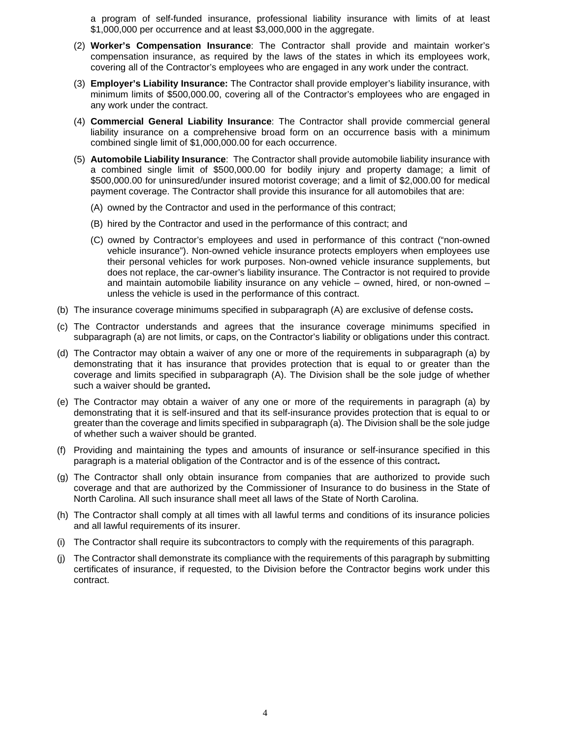a program of self-funded insurance, professional liability insurance with limits of at least \$1,000,000 per occurrence and at least \$3,000,000 in the aggregate.

- (2) **Worker's Compensation Insurance**: The Contractor shall provide and maintain worker's compensation insurance, as required by the laws of the states in which its employees work, covering all of the Contractor's employees who are engaged in any work under the contract.
- (3) **Employer's Liability Insurance:** The Contractor shall provide employer's liability insurance, with minimum limits of \$500,000.00, covering all of the Contractor's employees who are engaged in any work under the contract.
- (4) **Commercial General Liability Insurance**: The Contractor shall provide commercial general liability insurance on a comprehensive broad form on an occurrence basis with a minimum combined single limit of \$1,000,000.00 for each occurrence.
- (5) **Automobile Liability Insurance**: The Contractor shall provide automobile liability insurance with a combined single limit of \$500,000.00 for bodily injury and property damage; a limit of \$500,000.00 for uninsured/under insured motorist coverage; and a limit of \$2,000.00 for medical payment coverage. The Contractor shall provide this insurance for all automobiles that are:
	- (A) owned by the Contractor and used in the performance of this contract;
	- (B) hired by the Contractor and used in the performance of this contract; and
	- (C) owned by Contractor's employees and used in performance of this contract ("non-owned vehicle insurance"). Non-owned vehicle insurance protects employers when employees use their personal vehicles for work purposes. Non-owned vehicle insurance supplements, but does not replace, the car-owner's liability insurance. The Contractor is not required to provide and maintain automobile liability insurance on any vehicle – owned, hired, or non-owned – unless the vehicle is used in the performance of this contract.
- (b) The insurance coverage minimums specified in subparagraph (A) are exclusive of defense costs**.**
- (c) The Contractor understands and agrees that the insurance coverage minimums specified in subparagraph (a) are not limits, or caps, on the Contractor's liability or obligations under this contract.
- (d) The Contractor may obtain a waiver of any one or more of the requirements in subparagraph (a) by demonstrating that it has insurance that provides protection that is equal to or greater than the coverage and limits specified in subparagraph (A). The Division shall be the sole judge of whether such a waiver should be granted**.**
- (e) The Contractor may obtain a waiver of any one or more of the requirements in paragraph (a) by demonstrating that it is self-insured and that its self-insurance provides protection that is equal to or greater than the coverage and limits specified in subparagraph (a). The Division shall be the sole judge of whether such a waiver should be granted.
- (f) Providing and maintaining the types and amounts of insurance or self-insurance specified in this paragraph is a material obligation of the Contractor and is of the essence of this contract**.**
- (g) The Contractor shall only obtain insurance from companies that are authorized to provide such coverage and that are authorized by the Commissioner of Insurance to do business in the State of North Carolina. All such insurance shall meet all laws of the State of North Carolina.
- (h) The Contractor shall comply at all times with all lawful terms and conditions of its insurance policies and all lawful requirements of its insurer.
- (i) The Contractor shall require its subcontractors to comply with the requirements of this paragraph.
- (j) The Contractor shall demonstrate its compliance with the requirements of this paragraph by submitting certificates of insurance, if requested, to the Division before the Contractor begins work under this contract.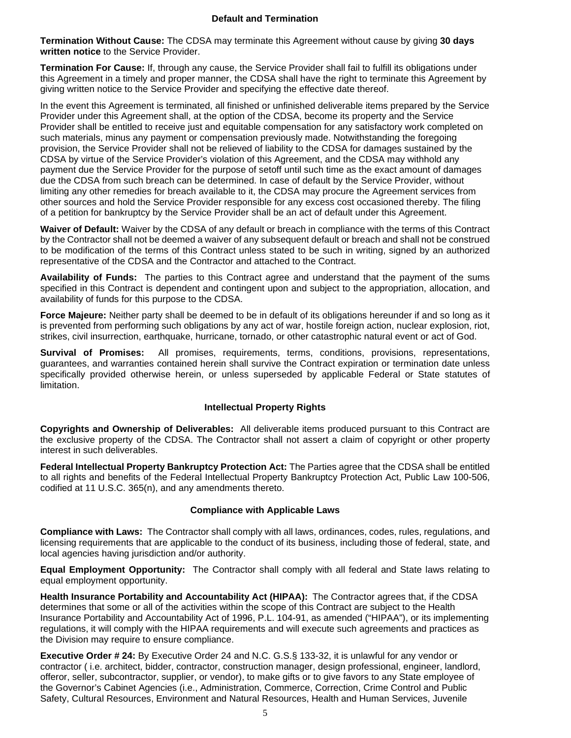**Termination Without Cause:** The CDSA may terminate this Agreement without cause by giving **30 days written notice** to the Service Provider.

**Termination For Cause:** If, through any cause, the Service Provider shall fail to fulfill its obligations under this Agreement in a timely and proper manner, the CDSA shall have the right to terminate this Agreement by giving written notice to the Service Provider and specifying the effective date thereof.

In the event this Agreement is terminated, all finished or unfinished deliverable items prepared by the Service Provider under this Agreement shall, at the option of the CDSA, become its property and the Service Provider shall be entitled to receive just and equitable compensation for any satisfactory work completed on such materials, minus any payment or compensation previously made. Notwithstanding the foregoing provision, the Service Provider shall not be relieved of liability to the CDSA for damages sustained by the CDSA by virtue of the Service Provider's violation of this Agreement, and the CDSA may withhold any payment due the Service Provider for the purpose of setoff until such time as the exact amount of damages due the CDSA from such breach can be determined. In case of default by the Service Provider, without limiting any other remedies for breach available to it, the CDSA may procure the Agreement services from other sources and hold the Service Provider responsible for any excess cost occasioned thereby. The filing of a petition for bankruptcy by the Service Provider shall be an act of default under this Agreement.

**Waiver of Default:** Waiver by the CDSA of any default or breach in compliance with the terms of this Contract by the Contractor shall not be deemed a waiver of any subsequent default or breach and shall not be construed to be modification of the terms of this Contract unless stated to be such in writing, signed by an authorized representative of the CDSA and the Contractor and attached to the Contract.

**Availability of Funds:** The parties to this Contract agree and understand that the payment of the sums specified in this Contract is dependent and contingent upon and subject to the appropriation, allocation, and availability of funds for this purpose to the CDSA.

**Force Majeure:** Neither party shall be deemed to be in default of its obligations hereunder if and so long as it is prevented from performing such obligations by any act of war, hostile foreign action, nuclear explosion, riot, strikes, civil insurrection, earthquake, hurricane, tornado, or other catastrophic natural event or act of God.

**Survival of Promises:** All promises, requirements, terms, conditions, provisions, representations, guarantees, and warranties contained herein shall survive the Contract expiration or termination date unless specifically provided otherwise herein, or unless superseded by applicable Federal or State statutes of limitation.

### **Intellectual Property Rights**

**Copyrights and Ownership of Deliverables:** All deliverable items produced pursuant to this Contract are the exclusive property of the CDSA. The Contractor shall not assert a claim of copyright or other property interest in such deliverables.

**Federal Intellectual Property Bankruptcy Protection Act:** The Parties agree that the CDSA shall be entitled to all rights and benefits of the Federal Intellectual Property Bankruptcy Protection Act, Public Law 100-506, codified at 11 U.S.C. 365(n), and any amendments thereto.

### **Compliance with Applicable Laws**

**Compliance with Laws:** The Contractor shall comply with all laws, ordinances, codes, rules, regulations, and licensing requirements that are applicable to the conduct of its business, including those of federal, state, and local agencies having jurisdiction and/or authority.

**Equal Employment Opportunity:** The Contractor shall comply with all federal and State laws relating to equal employment opportunity.

**Health Insurance Portability and Accountability Act (HIPAA):** The Contractor agrees that, if the CDSA determines that some or all of the activities within the scope of this Contract are subject to the Health Insurance Portability and Accountability Act of 1996, P.L. 104-91, as amended ("HIPAA"), or its implementing regulations, it will comply with the HIPAA requirements and will execute such agreements and practices as the Division may require to ensure compliance.

**Executive Order # 24:** By Executive Order 24 and N.C. G.S.§ 133-32, it is unlawful for any vendor or contractor ( i.e. architect, bidder, contractor, construction manager, design professional, engineer, landlord, offeror, seller, subcontractor, supplier, or vendor), to make gifts or to give favors to any State employee of the Governor's Cabinet Agencies (i.e., Administration, Commerce, Correction, Crime Control and Public Safety, Cultural Resources, Environment and Natural Resources, Health and Human Services, Juvenile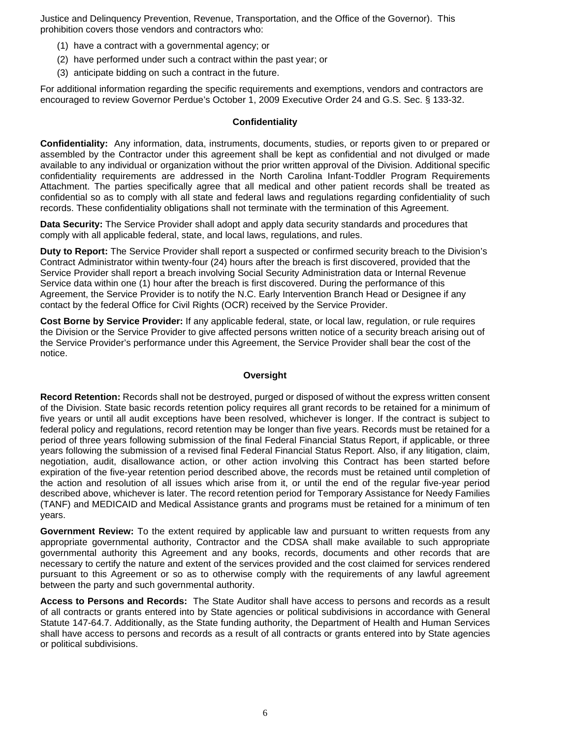Justice and Delinquency Prevention, Revenue, Transportation, and the Office of the Governor). This prohibition covers those vendors and contractors who:

- (1) have a contract with a governmental agency; or
- (2) have performed under such a contract within the past year; or
- (3) anticipate bidding on such a contract in the future.

For additional information regarding the specific requirements and exemptions, vendors and contractors are encouraged to review Governor Perdue's October 1, 2009 Executive Order 24 and G.S. Sec. § 133-32.

#### **Confidentiality**

**Confidentiality:** Any information, data, instruments, documents, studies, or reports given to or prepared or assembled by the Contractor under this agreement shall be kept as confidential and not divulged or made available to any individual or organization without the prior written approval of the Division. Additional specific confidentiality requirements are addressed in the North Carolina Infant-Toddler Program Requirements Attachment. The parties specifically agree that all medical and other patient records shall be treated as confidential so as to comply with all state and federal laws and regulations regarding confidentiality of such records. These confidentiality obligations shall not terminate with the termination of this Agreement.

**Data Security:** The Service Provider shall adopt and apply data security standards and procedures that comply with all applicable federal, state, and local laws, regulations, and rules.

**Duty to Report:** The Service Provider shall report a suspected or confirmed security breach to the Division's Contract Administrator within twenty-four (24) hours after the breach is first discovered, provided that the Service Provider shall report a breach involving Social Security Administration data or Internal Revenue Service data within one (1) hour after the breach is first discovered. During the performance of this Agreement, the Service Provider is to notify the N.C. Early Intervention Branch Head or Designee if any contact by the federal Office for Civil Rights (OCR) received by the Service Provider.

**Cost Borne by Service Provider:** If any applicable federal, state, or local law, regulation, or rule requires the Division or the Service Provider to give affected persons written notice of a security breach arising out of the Service Provider's performance under this Agreement, the Service Provider shall bear the cost of the notice.

#### **Oversight**

**Record Retention:** Records shall not be destroyed, purged or disposed of without the express written consent of the Division. State basic records retention policy requires all grant records to be retained for a minimum of five years or until all audit exceptions have been resolved, whichever is longer. If the contract is subject to federal policy and regulations, record retention may be longer than five years. Records must be retained for a period of three years following submission of the final Federal Financial Status Report, if applicable, or three years following the submission of a revised final Federal Financial Status Report. Also, if any litigation, claim, negotiation, audit, disallowance action, or other action involving this Contract has been started before expiration of the five-year retention period described above, the records must be retained until completion of the action and resolution of all issues which arise from it, or until the end of the regular five-year period described above, whichever is later. The record retention period for Temporary Assistance for Needy Families (TANF) and MEDICAID and Medical Assistance grants and programs must be retained for a minimum of ten years.

**Government Review:** To the extent required by applicable law and pursuant to written requests from any appropriate governmental authority, Contractor and the CDSA shall make available to such appropriate governmental authority this Agreement and any books, records, documents and other records that are necessary to certify the nature and extent of the services provided and the cost claimed for services rendered pursuant to this Agreement or so as to otherwise comply with the requirements of any lawful agreement between the party and such governmental authority.

**Access to Persons and Records:** The State Auditor shall have access to persons and records as a result of all contracts or grants entered into by State agencies or political subdivisions in accordance with General Statute 147-64.7. Additionally, as the State funding authority, the Department of Health and Human Services shall have access to persons and records as a result of all contracts or grants entered into by State agencies or political subdivisions.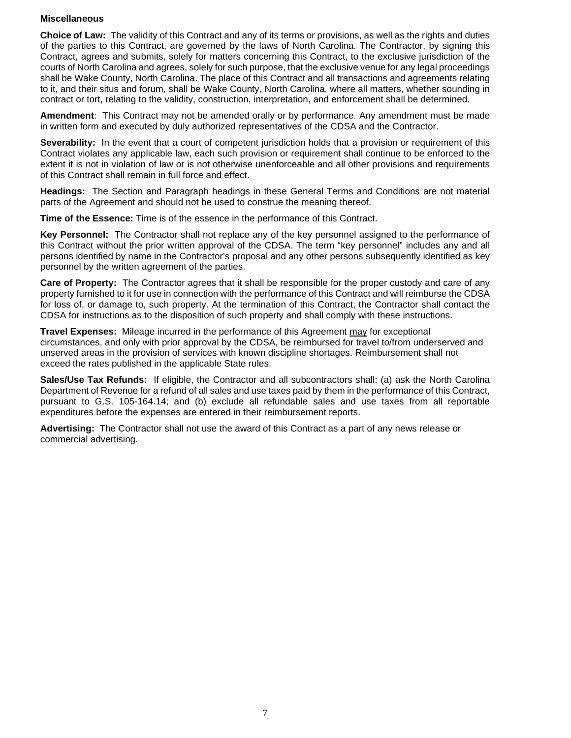#### **Miscellaneous**

**Choice of Law:** The validity of this Contract and any of its terms or provisions, as well as the rights and duties of the parties to this Contract, are governed by the laws of North Carolina. The Contractor, by signing this Contract, agrees and submits, solely for matters concerning this Contract, to the exclusive jurisdiction of the courts of North Carolina and agrees, solely for such purpose, that the exclusive venue for any legal proceedings shall be Wake County, North Carolina. The place of this Contract and all transactions and agreements relating to it, and their situs and forum, shall be Wake County, North Carolina, where all matters, whether sounding in contract or tort, relating to the validity, construction, interpretation, and enforcement shall be determined.

**Amendment**: This Contract may not be amended orally or by performance. Any amendment must be made in written form and executed by duly authorized representatives of the CDSA and the Contractor.

**Severability:** In the event that a court of competent jurisdiction holds that a provision or requirement of this Contract violates any applicable law, each such provision or requirement shall continue to be enforced to the extent it is not in violation of law or is not otherwise unenforceable and all other provisions and requirements of this Contract shall remain in full force and effect.

**Headings:** The Section and Paragraph headings in these General Terms and Conditions are not material parts of the Agreement and should not be used to construe the meaning thereof.

**Time of the Essence:** Time is of the essence in the performance of this Contract.

**Key Personnel:** The Contractor shall not replace any of the key personnel assigned to the performance of this Contract without the prior written approval of the CDSA. The term "key personnel" includes any and all persons identified by name in the Contractor's proposal and any other persons subsequently identified as key personnel by the written agreement of the parties.

**Care of Property:** The Contractor agrees that it shall be responsible for the proper custody and care of any property furnished to it for use in connection with the performance of this Contract and will reimburse the CDSA for loss of, or damage to, such property. At the termination of this Contract, the Contractor shall contact the CDSA for instructions as to the disposition of such property and shall comply with these instructions.

**Travel Expenses:** Mileage incurred in the performance of this Agreement may for exceptional circumstances, and only with prior approval by the CDSA, be reimbursed for travel to/from underserved and unserved areas in the provision of services with known discipline shortages. Reimbursement shall not exceed the rates published in the applicable State rules.

**Sales/Use Tax Refunds:** If eligible, the Contractor and all subcontractors shall: (a) ask the North Carolina Department of Revenue for a refund of all sales and use taxes paid by them in the performance of this Contract, pursuant to G.S. 105-164.14; and (b) exclude all refundable sales and use taxes from all reportable expenditures before the expenses are entered in their reimbursement reports.

**Advertising:** The Contractor shall not use the award of this Contract as a part of any news release or commercial advertising.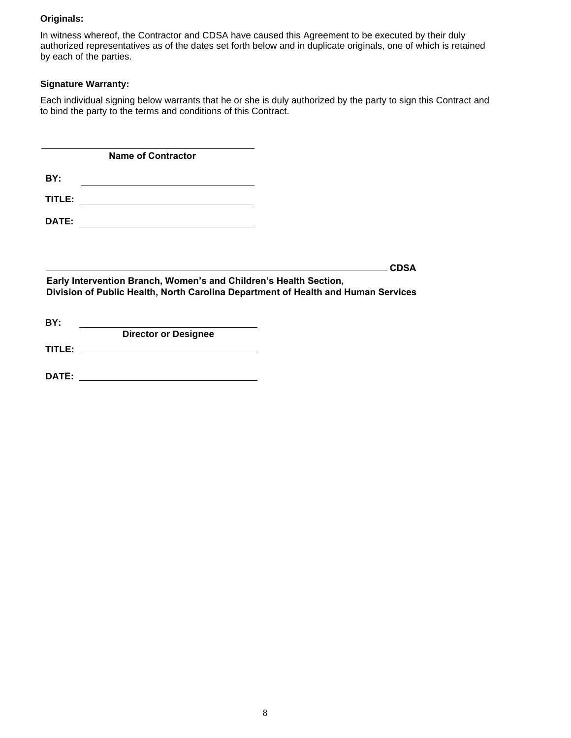#### **Originals:**

In witness whereof, the Contractor and CDSA have caused this Agreement to be executed by their duly authorized representatives as of the dates set forth below and in duplicate originals, one of which is retained by each of the parties.

### **Signature Warranty:**

Each individual signing below warrants that he or she is duly authorized by the party to sign this Contract and to bind the party to the terms and conditions of this Contract.

**BY: TITLE: DATE: Name of Contractor**

**CDSA** 

**CDSA Early Intervention Branch, Women's and Children's Health Section,** Division of Public Health, North Carolina Department of Health and Human Services

| <b>Director or Designee</b> |  |
|-----------------------------|--|
|                             |  |
|                             |  |
|                             |  |

**DATE:**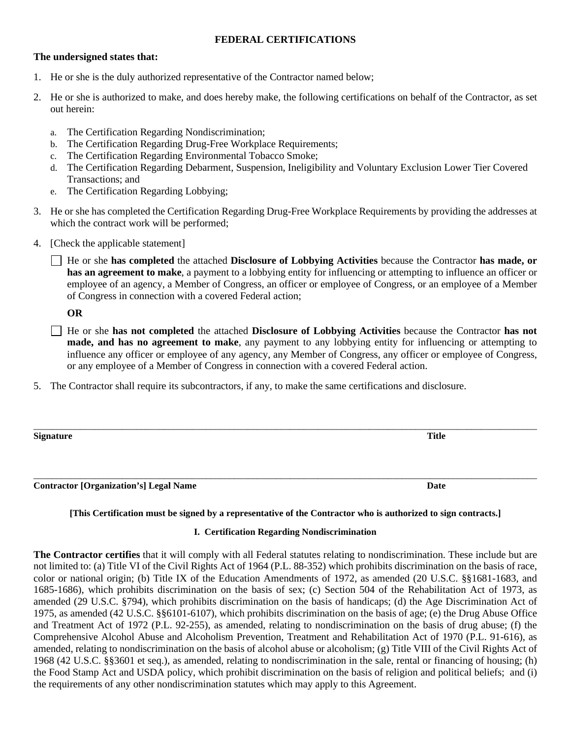### **FEDERAL CERTIFICATIONS**

### **The undersigned states that:**

- 1. He or she is the duly authorized representative of the Contractor named below;
- 2. He or she is authorized to make, and does hereby make, the following certifications on behalf of the Contractor, as set out herein:
	- a. The Certification Regarding Nondiscrimination;
	- b. The Certification Regarding Drug-Free Workplace Requirements;
	- c. The Certification Regarding Environmental Tobacco Smoke;
	- d. The Certification Regarding Debarment, Suspension, Ineligibility and Voluntary Exclusion Lower Tier Covered Transactions; and
	- e. The Certification Regarding Lobbying;
- 3. He or she has completed the Certification Regarding Drug-Free Workplace Requirements by providing the addresses at which the contract work will be performed;
- 4. [Check the applicable statement]
	- He or she **has completed** the attached **Disclosure of Lobbying Activities** because the Contractor **has made, or has an agreement to make**, a payment to a lobbying entity for influencing or attempting to influence an officer or employee of an agency, a Member of Congress, an officer or employee of Congress, or an employee of a Member of Congress in connection with a covered Federal action;

**OR**

- He or she **has not completed** the attached **Disclosure of Lobbying Activities** because the Contractor **has not made, and has no agreement to make**, any payment to any lobbying entity for influencing or attempting to influence any officer or employee of any agency, any Member of Congress, any officer or employee of Congress, or any employee of a Member of Congress in connection with a covered Federal action.
- 5. The Contractor shall require its subcontractors, if any, to make the same certifications and disclosure.

| <b>Signature</b> | <b>Title</b> |
|------------------|--------------|
|                  |              |
|                  |              |

\_\_\_\_\_\_\_\_\_\_\_\_\_\_\_\_\_\_\_\_\_\_\_\_\_\_\_\_\_\_\_\_\_\_\_\_\_\_\_\_\_\_\_\_\_\_\_\_\_\_\_\_\_\_\_\_\_\_\_\_\_\_\_\_\_\_\_\_\_\_\_\_\_\_\_\_\_\_\_\_\_\_\_\_\_\_\_\_\_\_\_\_\_\_\_\_\_\_\_\_\_\_\_\_\_\_\_\_ **Contractor [Organization's] Legal Name Date**

### **[This Certification must be signed by a representative of the Contractor who is authorized to sign contracts.]**

#### **I. Certification Regarding Nondiscrimination**

**The Contractor certifies** that it will comply with all Federal statutes relating to nondiscrimination. These include but are not limited to: (a) Title VI of the Civil Rights Act of 1964 (P.L. 88-352) which prohibits discrimination on the basis of race, color or national origin; (b) Title IX of the Education Amendments of 1972, as amended (20 U.S.C. §§1681-1683, and 1685-1686), which prohibits discrimination on the basis of sex; (c) Section 504 of the Rehabilitation Act of 1973, as amended (29 U.S.C. §794), which prohibits discrimination on the basis of handicaps; (d) the Age Discrimination Act of 1975, as amended (42 U.S.C. §§6101-6107), which prohibits discrimination on the basis of age; (e) the Drug Abuse Office and Treatment Act of 1972 (P.L. 92-255), as amended, relating to nondiscrimination on the basis of drug abuse; (f) the Comprehensive Alcohol Abuse and Alcoholism Prevention, Treatment and Rehabilitation Act of 1970 (P.L. 91-616), as amended, relating to nondiscrimination on the basis of alcohol abuse or alcoholism; (g) Title VIII of the Civil Rights Act of 1968 (42 U.S.C. §§3601 et seq.), as amended, relating to nondiscrimination in the sale, rental or financing of housing; (h) the Food Stamp Act and USDA policy, which prohibit discrimination on the basis of religion and political beliefs; and (i) the requirements of any other nondiscrimination statutes which may apply to this Agreement.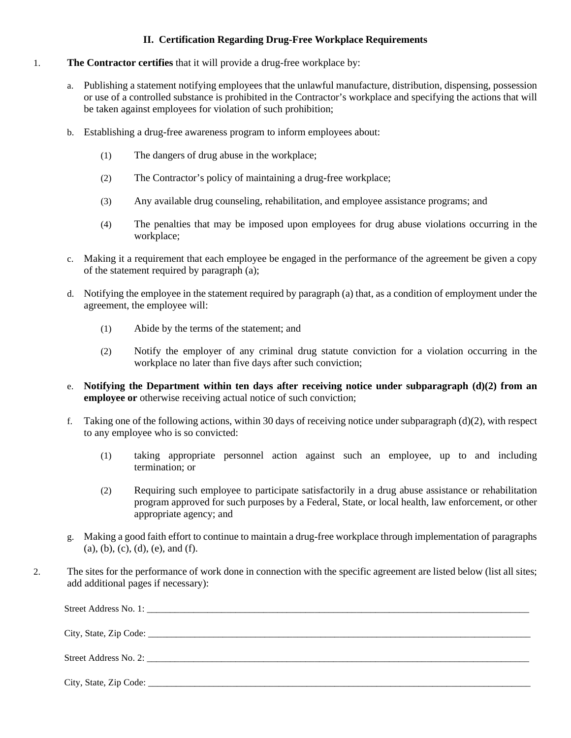## **II. Certification Regarding Drug-Free Workplace Requirements**

### 1. **The Contractor certifies** that it will provide a drug-free workplace by:

- a. Publishing a statement notifying employees that the unlawful manufacture, distribution, dispensing, possession or use of a controlled substance is prohibited in the Contractor's workplace and specifying the actions that will be taken against employees for violation of such prohibition;
- b. Establishing a drug-free awareness program to inform employees about:
	- (1) The dangers of drug abuse in the workplace;
	- (2) The Contractor's policy of maintaining a drug-free workplace;
	- (3) Any available drug counseling, rehabilitation, and employee assistance programs; and
	- (4) The penalties that may be imposed upon employees for drug abuse violations occurring in the workplace;
- c. Making it a requirement that each employee be engaged in the performance of the agreement be given a copy of the statement required by paragraph (a);
- d. Notifying the employee in the statement required by paragraph (a) that, as a condition of employment under the agreement, the employee will:
	- (1) Abide by the terms of the statement; and
	- (2) Notify the employer of any criminal drug statute conviction for a violation occurring in the workplace no later than five days after such conviction;
- e. **Notifying the Department within ten days after receiving notice under subparagraph (d)(2) from an employee or** otherwise receiving actual notice of such conviction;
- f. Taking one of the following actions, within 30 days of receiving notice under subparagraph (d)(2), with respect to any employee who is so convicted:
	- (1) taking appropriate personnel action against such an employee, up to and including termination; or
	- (2) Requiring such employee to participate satisfactorily in a drug abuse assistance or rehabilitation program approved for such purposes by a Federal, State, or local health, law enforcement, or other appropriate agency; and
- g. Making a good faith effort to continue to maintain a drug-free workplace through implementation of paragraphs (a), (b), (c), (d), (e), and (f).
- 2. The sites for the performance of work done in connection with the specific agreement are listed below (list all sites; add additional pages if necessary):

Street Address No. 1:

City, State, Zip Code: \_\_\_\_\_\_\_\_\_\_\_\_\_\_\_\_\_\_\_\_\_\_\_\_\_\_\_\_\_\_\_\_\_\_\_\_\_\_\_\_\_\_\_\_\_\_\_\_\_\_\_\_\_\_\_\_\_\_\_\_\_\_\_\_\_\_\_\_\_\_\_\_\_\_\_\_\_\_\_\_\_\_

Street Address No. 2:

City, State, Zip Code: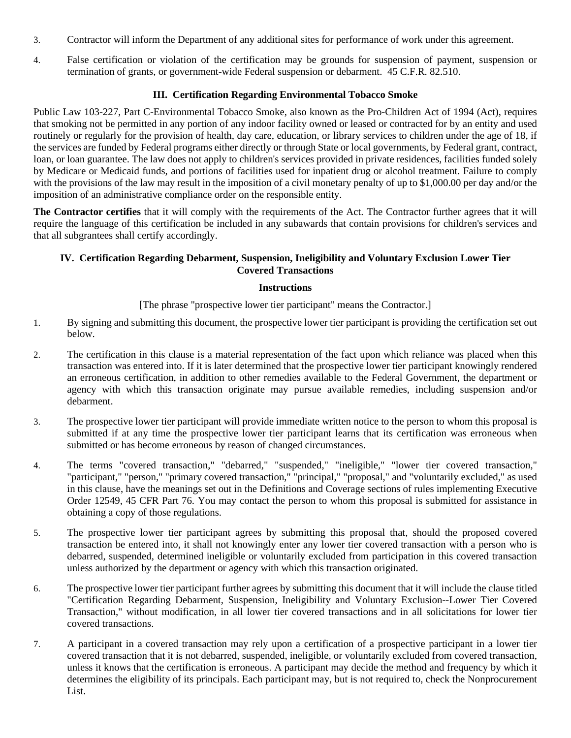- 3. Contractor will inform the Department of any additional sites for performance of work under this agreement.
- 4. False certification or violation of the certification may be grounds for suspension of payment, suspension or termination of grants, or government-wide Federal suspension or debarment. 45 C.F.R. 82.510.

## **III. Certification Regarding Environmental Tobacco Smoke**

Public Law 103-227, Part C-Environmental Tobacco Smoke, also known as the Pro-Children Act of 1994 (Act), requires that smoking not be permitted in any portion of any indoor facility owned or leased or contracted for by an entity and used routinely or regularly for the provision of health, day care, education, or library services to children under the age of 18, if the services are funded by Federal programs either directly or through State or local governments, by Federal grant, contract, loan, or loan guarantee. The law does not apply to children's services provided in private residences, facilities funded solely by Medicare or Medicaid funds, and portions of facilities used for inpatient drug or alcohol treatment. Failure to comply with the provisions of the law may result in the imposition of a civil monetary penalty of up to \$1,000.00 per day and/or the imposition of an administrative compliance order on the responsible entity.

**The Contractor certifies** that it will comply with the requirements of the Act. The Contractor further agrees that it will require the language of this certification be included in any subawards that contain provisions for children's services and that all subgrantees shall certify accordingly.

## **IV. Certification Regarding Debarment, Suspension, Ineligibility and Voluntary Exclusion Lower Tier Covered Transactions**

## **Instructions**

[The phrase "prospective lower tier participant" means the Contractor.]

- 1. By signing and submitting this document, the prospective lower tier participant is providing the certification set out below.
- 2. The certification in this clause is a material representation of the fact upon which reliance was placed when this transaction was entered into. If it is later determined that the prospective lower tier participant knowingly rendered an erroneous certification, in addition to other remedies available to the Federal Government, the department or agency with which this transaction originate may pursue available remedies, including suspension and/or debarment.
- 3. The prospective lower tier participant will provide immediate written notice to the person to whom this proposal is submitted if at any time the prospective lower tier participant learns that its certification was erroneous when submitted or has become erroneous by reason of changed circumstances.
- 4. The terms "covered transaction," "debarred," "suspended," "ineligible," "lower tier covered transaction," "participant," "person," "primary covered transaction," "principal," "proposal," and "voluntarily excluded," as used in this clause, have the meanings set out in the Definitions and Coverage sections of rules implementing Executive Order 12549, 45 CFR Part 76. You may contact the person to whom this proposal is submitted for assistance in obtaining a copy of those regulations.
- 5. The prospective lower tier participant agrees by submitting this proposal that, should the proposed covered transaction be entered into, it shall not knowingly enter any lower tier covered transaction with a person who is debarred, suspended, determined ineligible or voluntarily excluded from participation in this covered transaction unless authorized by the department or agency with which this transaction originated.
- 6. The prospective lower tier participant further agrees by submitting this document that it will include the clause titled "Certification Regarding Debarment, Suspension, Ineligibility and Voluntary Exclusion--Lower Tier Covered Transaction," without modification, in all lower tier covered transactions and in all solicitations for lower tier covered transactions.
- 7. A participant in a covered transaction may rely upon a certification of a prospective participant in a lower tier covered transaction that it is not debarred, suspended, ineligible, or voluntarily excluded from covered transaction, unless it knows that the certification is erroneous. A participant may decide the method and frequency by which it determines the eligibility of its principals. Each participant may, but is not required to, check the Nonprocurement List.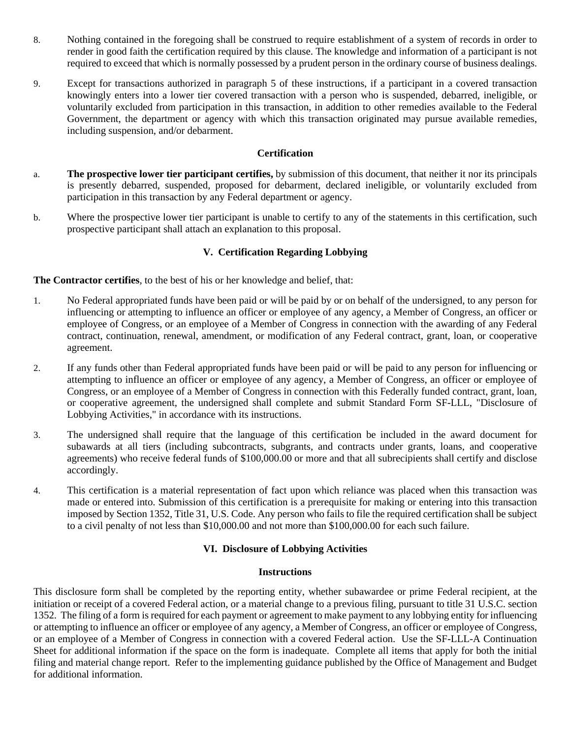- 8. Nothing contained in the foregoing shall be construed to require establishment of a system of records in order to render in good faith the certification required by this clause. The knowledge and information of a participant is not required to exceed that which is normally possessed by a prudent person in the ordinary course of business dealings.
- 9. Except for transactions authorized in paragraph 5 of these instructions, if a participant in a covered transaction knowingly enters into a lower tier covered transaction with a person who is suspended, debarred, ineligible, or voluntarily excluded from participation in this transaction, in addition to other remedies available to the Federal Government, the department or agency with which this transaction originated may pursue available remedies, including suspension, and/or debarment.

## **Certification**

- a. **The prospective lower tier participant certifies,** by submission of this document, that neither it nor its principals is presently debarred, suspended, proposed for debarment, declared ineligible, or voluntarily excluded from participation in this transaction by any Federal department or agency.
- b. Where the prospective lower tier participant is unable to certify to any of the statements in this certification, such prospective participant shall attach an explanation to this proposal.

## **V. Certification Regarding Lobbying**

**The Contractor certifies**, to the best of his or her knowledge and belief, that:

- 1. No Federal appropriated funds have been paid or will be paid by or on behalf of the undersigned, to any person for influencing or attempting to influence an officer or employee of any agency, a Member of Congress, an officer or employee of Congress, or an employee of a Member of Congress in connection with the awarding of any Federal contract, continuation, renewal, amendment, or modification of any Federal contract, grant, loan, or cooperative agreement.
- 2. If any funds other than Federal appropriated funds have been paid or will be paid to any person for influencing or attempting to influence an officer or employee of any agency, a Member of Congress, an officer or employee of Congress, or an employee of a Member of Congress in connection with this Federally funded contract, grant, loan, or cooperative agreement, the undersigned shall complete and submit Standard Form SF-LLL, "Disclosure of Lobbying Activities," in accordance with its instructions.
- 3. The undersigned shall require that the language of this certification be included in the award document for subawards at all tiers (including subcontracts, subgrants, and contracts under grants, loans, and cooperative agreements) who receive federal funds of \$100,000.00 or more and that all subrecipients shall certify and disclose accordingly.
- 4. This certification is a material representation of fact upon which reliance was placed when this transaction was made or entered into. Submission of this certification is a prerequisite for making or entering into this transaction imposed by Section 1352, Title 31, U.S. Code. Any person who fails to file the required certification shall be subject to a civil penalty of not less than \$10,000.00 and not more than \$100,000.00 for each such failure.

## **VI. Disclosure of Lobbying Activities**

### **Instructions**

This disclosure form shall be completed by the reporting entity, whether subawardee or prime Federal recipient, at the initiation or receipt of a covered Federal action, or a material change to a previous filing, pursuant to title 31 U.S.C. section 1352. The filing of a form is required for each payment or agreement to make payment to any lobbying entity for influencing or attempting to influence an officer or employee of any agency, a Member of Congress, an officer or employee of Congress, or an employee of a Member of Congress in connection with a covered Federal action. Use the SF-LLL-A Continuation Sheet for additional information if the space on the form is inadequate. Complete all items that apply for both the initial filing and material change report. Refer to the implementing guidance published by the Office of Management and Budget for additional information.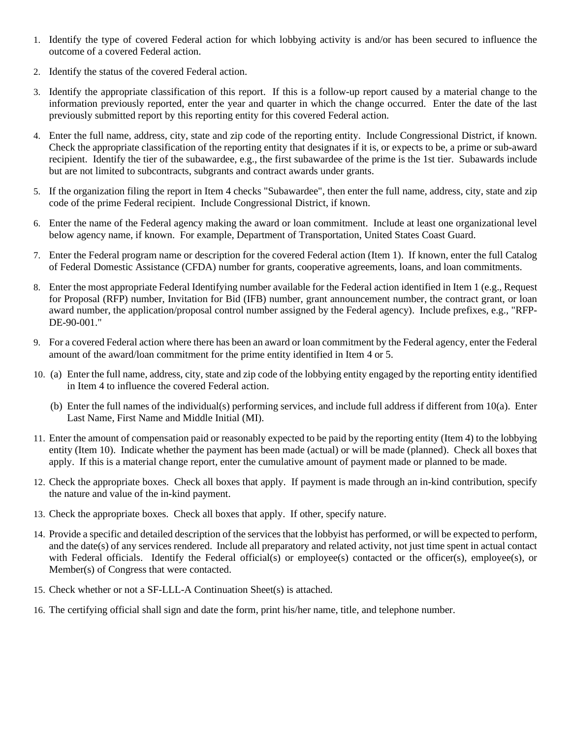- 1. Identify the type of covered Federal action for which lobbying activity is and/or has been secured to influence the outcome of a covered Federal action.
- 2. Identify the status of the covered Federal action.
- 3. Identify the appropriate classification of this report. If this is a follow-up report caused by a material change to the information previously reported, enter the year and quarter in which the change occurred. Enter the date of the last previously submitted report by this reporting entity for this covered Federal action.
- 4. Enter the full name, address, city, state and zip code of the reporting entity. Include Congressional District, if known. Check the appropriate classification of the reporting entity that designates if it is, or expects to be, a prime or sub-award recipient. Identify the tier of the subawardee, e.g., the first subawardee of the prime is the 1st tier. Subawards include but are not limited to subcontracts, subgrants and contract awards under grants.
- 5. If the organization filing the report in Item 4 checks "Subawardee", then enter the full name, address, city, state and zip code of the prime Federal recipient. Include Congressional District, if known.
- 6. Enter the name of the Federal agency making the award or loan commitment. Include at least one organizational level below agency name, if known. For example, Department of Transportation, United States Coast Guard.
- 7. Enter the Federal program name or description for the covered Federal action (Item 1). If known, enter the full Catalog of Federal Domestic Assistance (CFDA) number for grants, cooperative agreements, loans, and loan commitments.
- 8. Enter the most appropriate Federal Identifying number available for the Federal action identified in Item 1 (e.g., Request for Proposal (RFP) number, Invitation for Bid (IFB) number, grant announcement number, the contract grant, or loan award number, the application/proposal control number assigned by the Federal agency). Include prefixes, e.g., "RFP-DE-90-001."
- 9. For a covered Federal action where there has been an award or loan commitment by the Federal agency, enter the Federal amount of the award/loan commitment for the prime entity identified in Item 4 or 5.
- 10. (a) Enter the full name, address, city, state and zip code of the lobbying entity engaged by the reporting entity identified in Item 4 to influence the covered Federal action.
	- (b) Enter the full names of the individual(s) performing services, and include full address if different from 10(a). Enter Last Name, First Name and Middle Initial (MI).
- 11. Enter the amount of compensation paid or reasonably expected to be paid by the reporting entity (Item 4) to the lobbying entity (Item 10). Indicate whether the payment has been made (actual) or will be made (planned). Check all boxes that apply. If this is a material change report, enter the cumulative amount of payment made or planned to be made.
- 12. Check the appropriate boxes. Check all boxes that apply. If payment is made through an in-kind contribution, specify the nature and value of the in-kind payment.
- 13. Check the appropriate boxes. Check all boxes that apply. If other, specify nature.
- 14. Provide a specific and detailed description of the services that the lobbyist has performed, or will be expected to perform, and the date(s) of any services rendered. Include all preparatory and related activity, not just time spent in actual contact with Federal officials. Identify the Federal official(s) or employee(s) contacted or the officer(s), employee(s), or Member(s) of Congress that were contacted.
- 15. Check whether or not a SF-LLL-A Continuation Sheet(s) is attached.
- 16. The certifying official shall sign and date the form, print his/her name, title, and telephone number.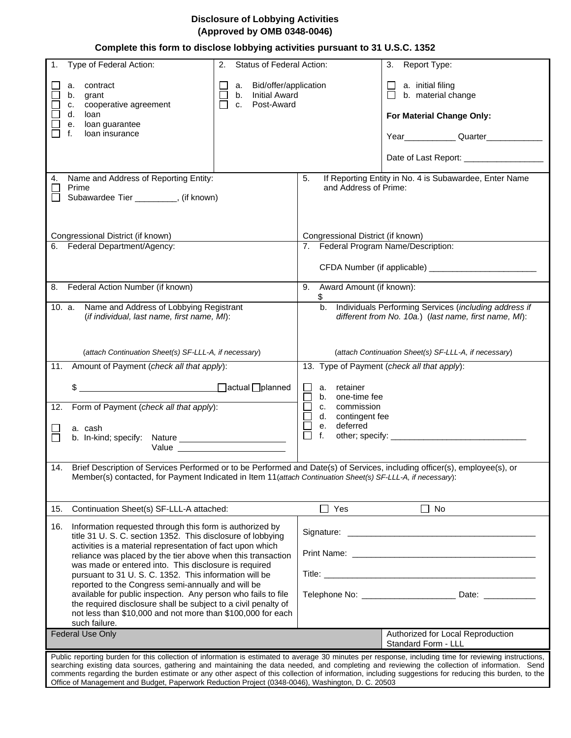## **Disclosure of Lobbying Activities (Approved by OMB 0348-0046)**

## **Complete this form to disclose lobbying activities pursuant to 31 U.S.C. 1352**

| Type of Federal Action:<br>$\mathbf{1}$ .                                                                                                                                                                                                    | Status of Federal Action:<br>2. |                                                                                  | Report Type:<br>3.                                                                                                                                                                                                                                                                                   |
|----------------------------------------------------------------------------------------------------------------------------------------------------------------------------------------------------------------------------------------------|---------------------------------|----------------------------------------------------------------------------------|------------------------------------------------------------------------------------------------------------------------------------------------------------------------------------------------------------------------------------------------------------------------------------------------------|
| contract<br>a.                                                                                                                                                                                                                               | Bid/offer/application<br>а.     |                                                                                  | a. initial filing                                                                                                                                                                                                                                                                                    |
| grant<br>b.                                                                                                                                                                                                                                  | <b>Initial Award</b><br>b.      |                                                                                  | b. material change                                                                                                                                                                                                                                                                                   |
| cooperative agreement<br>C.                                                                                                                                                                                                                  | Post-Award<br>C.                |                                                                                  |                                                                                                                                                                                                                                                                                                      |
| d.<br>loan                                                                                                                                                                                                                                   |                                 |                                                                                  | For Material Change Only:                                                                                                                                                                                                                                                                            |
| loan guarantee<br>е.                                                                                                                                                                                                                         |                                 |                                                                                  |                                                                                                                                                                                                                                                                                                      |
| loan insurance<br>f.                                                                                                                                                                                                                         |                                 |                                                                                  |                                                                                                                                                                                                                                                                                                      |
|                                                                                                                                                                                                                                              |                                 |                                                                                  |                                                                                                                                                                                                                                                                                                      |
|                                                                                                                                                                                                                                              |                                 |                                                                                  | Date of Last Report: ___________________                                                                                                                                                                                                                                                             |
| Name and Address of Reporting Entity:<br>4.                                                                                                                                                                                                  |                                 | If Reporting Entity in No. 4 is Subawardee, Enter Name<br>5.                     |                                                                                                                                                                                                                                                                                                      |
| Prime                                                                                                                                                                                                                                        |                                 | and Address of Prime:                                                            |                                                                                                                                                                                                                                                                                                      |
| Subawardee Tier _________, (if known)                                                                                                                                                                                                        |                                 |                                                                                  |                                                                                                                                                                                                                                                                                                      |
|                                                                                                                                                                                                                                              |                                 |                                                                                  |                                                                                                                                                                                                                                                                                                      |
|                                                                                                                                                                                                                                              |                                 |                                                                                  |                                                                                                                                                                                                                                                                                                      |
| Congressional District (if known)                                                                                                                                                                                                            |                                 | Congressional District (if known)                                                |                                                                                                                                                                                                                                                                                                      |
| 6. Federal Department/Agency:                                                                                                                                                                                                                |                                 | 7. Federal Program Name/Description:                                             |                                                                                                                                                                                                                                                                                                      |
|                                                                                                                                                                                                                                              |                                 |                                                                                  |                                                                                                                                                                                                                                                                                                      |
|                                                                                                                                                                                                                                              |                                 |                                                                                  | CFDA Number (if applicable) ___________________________                                                                                                                                                                                                                                              |
|                                                                                                                                                                                                                                              |                                 |                                                                                  |                                                                                                                                                                                                                                                                                                      |
| Federal Action Number (if known)<br>8.                                                                                                                                                                                                       |                                 | Award Amount (if known):<br>9.<br>\$                                             |                                                                                                                                                                                                                                                                                                      |
| Name and Address of Lobbying Registrant<br>10. a.                                                                                                                                                                                            |                                 | b.                                                                               | Individuals Performing Services (including address if                                                                                                                                                                                                                                                |
| (if individual, last name, first name, MI):                                                                                                                                                                                                  |                                 |                                                                                  | different from No. 10a.) (last name, first name, MI):                                                                                                                                                                                                                                                |
|                                                                                                                                                                                                                                              |                                 |                                                                                  |                                                                                                                                                                                                                                                                                                      |
|                                                                                                                                                                                                                                              |                                 |                                                                                  |                                                                                                                                                                                                                                                                                                      |
| (attach Continuation Sheet(s) SF-LLL-A, if necessary)                                                                                                                                                                                        |                                 |                                                                                  | (attach Continuation Sheet(s) SF-LLL-A, if necessary)                                                                                                                                                                                                                                                |
| 11.<br>Amount of Payment (check all that apply):                                                                                                                                                                                             |                                 |                                                                                  | 13. Type of Payment (check all that apply):                                                                                                                                                                                                                                                          |
|                                                                                                                                                                                                                                              |                                 |                                                                                  |                                                                                                                                                                                                                                                                                                      |
| \$                                                                                                                                                                                                                                           |                                 | a. retainer                                                                      |                                                                                                                                                                                                                                                                                                      |
|                                                                                                                                                                                                                                              |                                 | b. one-time fee                                                                  |                                                                                                                                                                                                                                                                                                      |
| Form of Payment (check all that apply):<br>12.                                                                                                                                                                                               |                                 | c. commission<br>d. contingent fee                                               |                                                                                                                                                                                                                                                                                                      |
| a. cash                                                                                                                                                                                                                                      |                                 | deferred<br>е.                                                                   |                                                                                                                                                                                                                                                                                                      |
|                                                                                                                                                                                                                                              |                                 | f.                                                                               |                                                                                                                                                                                                                                                                                                      |
| Value                                                                                                                                                                                                                                        |                                 |                                                                                  |                                                                                                                                                                                                                                                                                                      |
|                                                                                                                                                                                                                                              |                                 |                                                                                  |                                                                                                                                                                                                                                                                                                      |
| 14. Brief Description of Services Performed or to be Performed and Date(s) of Services, including officer(s), employee(s), or<br>Member(s) contacted, for Payment Indicated in Item 11(attach Continuation Sheet(s) SF-LLL-A, if necessary): |                                 |                                                                                  |                                                                                                                                                                                                                                                                                                      |
|                                                                                                                                                                                                                                              |                                 |                                                                                  |                                                                                                                                                                                                                                                                                                      |
|                                                                                                                                                                                                                                              |                                 |                                                                                  |                                                                                                                                                                                                                                                                                                      |
| Continuation Sheet(s) SF-LLL-A attached:<br>15.                                                                                                                                                                                              |                                 | $\Box$<br>Yes                                                                    | $\Box$<br>No                                                                                                                                                                                                                                                                                         |
|                                                                                                                                                                                                                                              |                                 |                                                                                  |                                                                                                                                                                                                                                                                                                      |
| Information requested through this form is authorized by<br>16.<br>title 31 U. S. C. section 1352. This disclosure of lobbying                                                                                                               |                                 |                                                                                  |                                                                                                                                                                                                                                                                                                      |
|                                                                                                                                                                                                                                              |                                 |                                                                                  |                                                                                                                                                                                                                                                                                                      |
| activities is a material representation of fact upon which<br>reliance was placed by the tier above when this transaction                                                                                                                    |                                 |                                                                                  |                                                                                                                                                                                                                                                                                                      |
| was made or entered into. This disclosure is required                                                                                                                                                                                        |                                 |                                                                                  |                                                                                                                                                                                                                                                                                                      |
| pursuant to 31 U. S. C. 1352. This information will be                                                                                                                                                                                       |                                 |                                                                                  |                                                                                                                                                                                                                                                                                                      |
| reported to the Congress semi-annually and will be                                                                                                                                                                                           |                                 |                                                                                  |                                                                                                                                                                                                                                                                                                      |
| available for public inspection. Any person who fails to file<br>the required disclosure shall be subject to a civil penalty of                                                                                                              |                                 | Telephone No: __________________________________ Date: _________________________ |                                                                                                                                                                                                                                                                                                      |
| not less than \$10,000 and not more than \$100,000 for each                                                                                                                                                                                  |                                 |                                                                                  |                                                                                                                                                                                                                                                                                                      |
| such failure.                                                                                                                                                                                                                                |                                 |                                                                                  |                                                                                                                                                                                                                                                                                                      |
| <b>Federal Use Only</b>                                                                                                                                                                                                                      |                                 |                                                                                  | Authorized for Local Reproduction                                                                                                                                                                                                                                                                    |
|                                                                                                                                                                                                                                              |                                 |                                                                                  | Standard Form - LLL                                                                                                                                                                                                                                                                                  |
|                                                                                                                                                                                                                                              |                                 |                                                                                  | Public reporting burden for this collection of information is estimated to average 30 minutes per response, including time for reviewing instructions,                                                                                                                                               |
|                                                                                                                                                                                                                                              |                                 |                                                                                  | searching existing data sources, gathering and maintaining the data needed, and completing and reviewing the collection of information. Send<br>comments regarding the burden estimate or any other aspect of this collection of information, including suggestions for reducing this burden, to the |
|                                                                                                                                                                                                                                              |                                 |                                                                                  |                                                                                                                                                                                                                                                                                                      |

Office of Management and Budget, Paperwork Reduction Project (0348-0046), Washington, D. C. 20503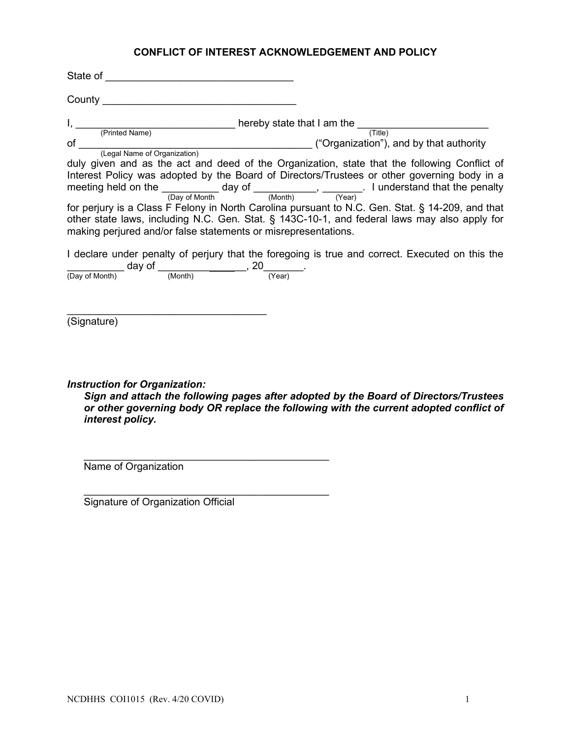# **CONFLICT OF INTEREST ACKNOWLEDGEMENT AND POLICY**

| making perjured and/or false statements or misrepresentations.                          | I, (Printed Name) hereby state that I am the (Title)<br>of (Legal Name of Organization) (Legal Name of Organization)<br>duly given and as the act and deed of the Organization, state that the following Conflict of<br>Interest Policy was adopted by the Board of Directors/Trustees or other governing body in a<br>meeting held on the $\frac{1}{\frac{(\text{Day of Month})}{(\text{Day of Month})}}$ day of $\frac{1}{\frac{(\text{Month})}{(\text{Year})}}$ . I understand that the penalty<br>for perjury is a Class F Felony in North Carolina pursuant to N.C. Gen. Stat. § 14-209, and that<br>other state laws, including N.C. Gen. Stat. § 143C-10-1, and federal laws may also apply for<br>I declare under penalty of perjury that the foregoing is true and correct. Executed on this the |
|-----------------------------------------------------------------------------------------|-----------------------------------------------------------------------------------------------------------------------------------------------------------------------------------------------------------------------------------------------------------------------------------------------------------------------------------------------------------------------------------------------------------------------------------------------------------------------------------------------------------------------------------------------------------------------------------------------------------------------------------------------------------------------------------------------------------------------------------------------------------------------------------------------------------|
| $\frac{1}{(Day \text{ of Month})}$ day of $\frac{1}{(Month)}$ , 20 $\frac{1}{(Year)}$ . |                                                                                                                                                                                                                                                                                                                                                                                                                                                                                                                                                                                                                                                                                                                                                                                                           |
| (Signature)                                                                             |                                                                                                                                                                                                                                                                                                                                                                                                                                                                                                                                                                                                                                                                                                                                                                                                           |
| <b>Instruction for Organization:</b><br>interest policy.                                | Sign and attach the following pages after adopted by the Board of Directors/Trustees<br>or other governing body OR replace the following with the current adopted conflict of                                                                                                                                                                                                                                                                                                                                                                                                                                                                                                                                                                                                                             |

Name of Organization

\_\_\_\_\_\_\_\_\_\_\_\_\_\_\_\_\_\_\_\_\_\_\_\_\_\_\_\_\_\_\_\_\_\_\_\_\_\_\_\_\_\_\_ Signature of Organization Official

\_\_\_\_\_\_\_\_\_\_\_\_\_\_\_\_\_\_\_\_\_\_\_\_\_\_\_\_\_\_\_\_\_\_\_\_\_\_\_\_\_\_\_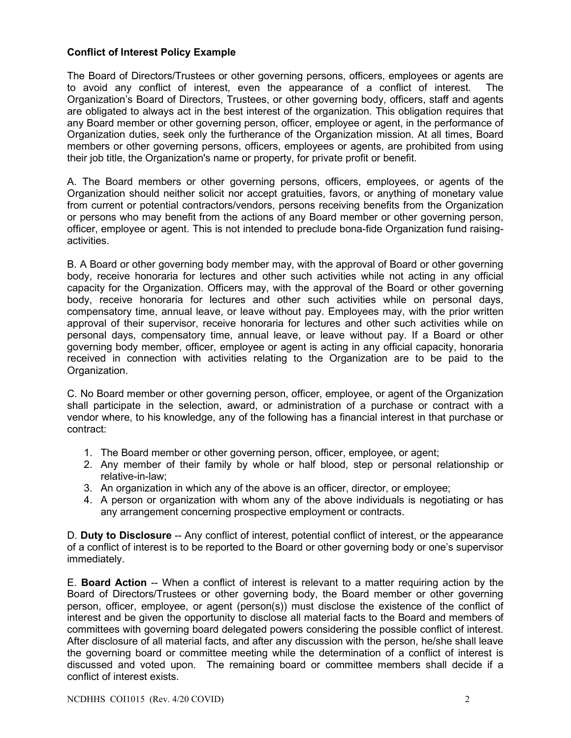## **Conflict of Interest Policy Example**

The Board of Directors/Trustees or other governing persons, officers, employees or agents are to avoid any conflict of interest, even the appearance of a conflict of interest. The Organization's Board of Directors, Trustees, or other governing body, officers, staff and agents are obligated to always act in the best interest of the organization. This obligation requires that any Board member or other governing person, officer, employee or agent, in the performance of Organization duties, seek only the furtherance of the Organization mission. At all times, Board members or other governing persons, officers, employees or agents, are prohibited from using their job title, the Organization's name or property, for private profit or benefit.

A. The Board members or other governing persons, officers, employees, or agents of the Organization should neither solicit nor accept gratuities, favors, or anything of monetary value from current or potential contractors/vendors, persons receiving benefits from the Organization or persons who may benefit from the actions of any Board member or other governing person, officer, employee or agent. This is not intended to preclude bona-fide Organization fund raisingactivities.

B. A Board or other governing body member may, with the approval of Board or other governing body, receive honoraria for lectures and other such activities while not acting in any official capacity for the Organization. Officers may, with the approval of the Board or other governing body, receive honoraria for lectures and other such activities while on personal days, compensatory time, annual leave, or leave without pay. Employees may, with the prior written approval of their supervisor, receive honoraria for lectures and other such activities while on personal days, compensatory time, annual leave, or leave without pay. If a Board or other governing body member, officer, employee or agent is acting in any official capacity, honoraria received in connection with activities relating to the Organization are to be paid to the Organization.

C. No Board member or other governing person, officer, employee, or agent of the Organization shall participate in the selection, award, or administration of a purchase or contract with a vendor where, to his knowledge, any of the following has a financial interest in that purchase or contract:

- 1. The Board member or other governing person, officer, employee, or agent;
- 2. Any member of their family by whole or half blood, step or personal relationship or relative-in-law;
- 3. An organization in which any of the above is an officer, director, or employee;
- 4. A person or organization with whom any of the above individuals is negotiating or has any arrangement concerning prospective employment or contracts.

D. **Duty to Disclosure** -- Any conflict of interest, potential conflict of interest, or the appearance of a conflict of interest is to be reported to the Board or other governing body or one's supervisor immediately.

E. **Board Action** -- When a conflict of interest is relevant to a matter requiring action by the Board of Directors/Trustees or other governing body, the Board member or other governing person, officer, employee, or agent (person(s)) must disclose the existence of the conflict of interest and be given the opportunity to disclose all material facts to the Board and members of committees with governing board delegated powers considering the possible conflict of interest. After disclosure of all material facts, and after any discussion with the person, he/she shall leave the governing board or committee meeting while the determination of a conflict of interest is discussed and voted upon. The remaining board or committee members shall decide if a conflict of interest exists.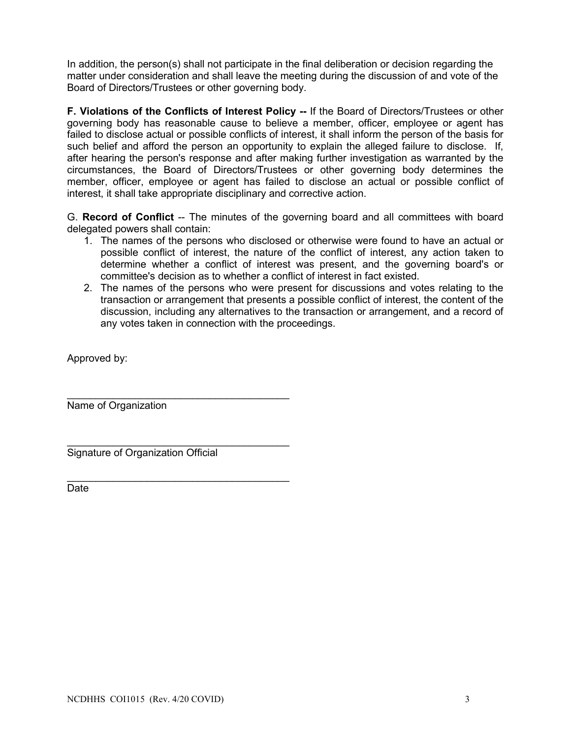In addition, the person(s) shall not participate in the final deliberation or decision regarding the matter under consideration and shall leave the meeting during the discussion of and vote of the Board of Directors/Trustees or other governing body.

**F. Violations of the Conflicts of Interest Policy --** If the Board of Directors/Trustees or other governing body has reasonable cause to believe a member, officer, employee or agent has failed to disclose actual or possible conflicts of interest, it shall inform the person of the basis for such belief and afford the person an opportunity to explain the alleged failure to disclose. If, after hearing the person's response and after making further investigation as warranted by the circumstances, the Board of Directors/Trustees or other governing body determines the member, officer, employee or agent has failed to disclose an actual or possible conflict of interest, it shall take appropriate disciplinary and corrective action.

G. **Record of Conflict** -- The minutes of the governing board and all committees with board delegated powers shall contain:

- 1. The names of the persons who disclosed or otherwise were found to have an actual or possible conflict of interest, the nature of the conflict of interest, any action taken to determine whether a conflict of interest was present, and the governing board's or committee's decision as to whether a conflict of interest in fact existed.
- 2. The names of the persons who were present for discussions and votes relating to the transaction or arrangement that presents a possible conflict of interest, the content of the discussion, including any alternatives to the transaction or arrangement, and a record of any votes taken in connection with the proceedings.

Approved by:

Name of Organization

\_\_\_\_\_\_\_\_\_\_\_\_\_\_\_\_\_\_\_\_\_\_\_\_\_\_\_\_\_\_\_\_\_\_\_\_\_\_\_ Signature of Organization Official

\_\_\_\_\_\_\_\_\_\_\_\_\_\_\_\_\_\_\_\_\_\_\_\_\_\_\_\_\_\_\_\_\_\_\_\_\_\_\_

\_\_\_\_\_\_\_\_\_\_\_\_\_\_\_\_\_\_\_\_\_\_\_\_\_\_\_\_\_\_\_\_\_\_\_\_\_\_\_ **Date**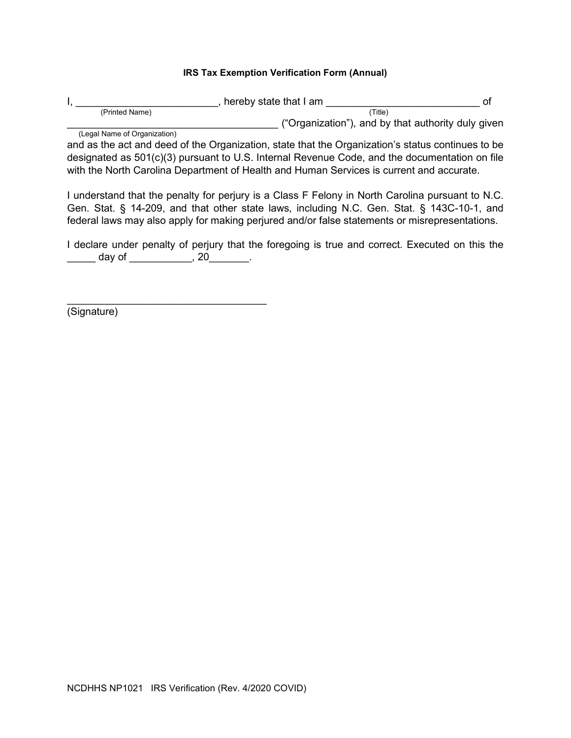## **IRS Tax Exemption Verification Form (Annual)**

|                              | hereby state that I am                             |  |
|------------------------------|----------------------------------------------------|--|
| (Printed Name)               | (Title)                                            |  |
|                              | ("Organization"), and by that authority duly given |  |
| (Legal Name of Organization) |                                                    |  |

and as the act and deed of the Organization, state that the Organization's status continues to be designated as 501(c)(3) pursuant to U.S. Internal Revenue Code, and the documentation on file with the North Carolina Department of Health and Human Services is current and accurate.

I understand that the penalty for perjury is a Class F Felony in North Carolina pursuant to N.C. Gen. Stat. § 14-209, and that other state laws, including N.C. Gen. Stat. § 143C-10-1, and federal laws may also apply for making perjured and/or false statements or misrepresentations.

I declare under penalty of perjury that the foregoing is true and correct. Executed on this the \_\_\_\_\_\_ day of \_\_\_\_\_\_\_\_\_\_\_\_, 20\_\_\_\_\_\_\_.

(Signature)

\_\_\_\_\_\_\_\_\_\_\_\_\_\_\_\_\_\_\_\_\_\_\_\_\_\_\_\_\_\_\_\_\_\_\_